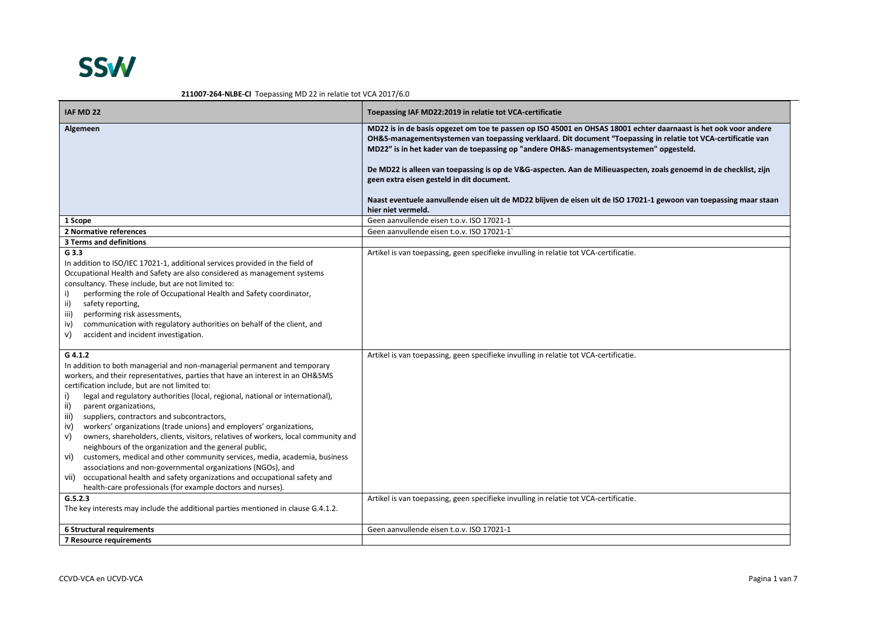# **SSW**

| IAF MD 22                                                                                                                                                                                                                                                                                                                                                                                                                                                                                                                                                                                                                                                                                                                                                                                                                                                                                                                                                                                                                                         | Toepassing IAF MD22:2019 in relatie tot VCA-certificatie                                                                                                                                                                                                                                                                                                                                                                                                                                                                                                                                                                                     |
|---------------------------------------------------------------------------------------------------------------------------------------------------------------------------------------------------------------------------------------------------------------------------------------------------------------------------------------------------------------------------------------------------------------------------------------------------------------------------------------------------------------------------------------------------------------------------------------------------------------------------------------------------------------------------------------------------------------------------------------------------------------------------------------------------------------------------------------------------------------------------------------------------------------------------------------------------------------------------------------------------------------------------------------------------|----------------------------------------------------------------------------------------------------------------------------------------------------------------------------------------------------------------------------------------------------------------------------------------------------------------------------------------------------------------------------------------------------------------------------------------------------------------------------------------------------------------------------------------------------------------------------------------------------------------------------------------------|
| Algemeen                                                                                                                                                                                                                                                                                                                                                                                                                                                                                                                                                                                                                                                                                                                                                                                                                                                                                                                                                                                                                                          | MD22 is in de basis opgezet om toe te passen op ISO 45001 en OHSAS 18001 echter daarnaast is het ook voor andere<br>OH&S-managementsystemen van toepassing verklaard. Dit document "Toepassing in relatie tot VCA-certificatie van<br>MD22" is in het kader van de toepassing op "andere OH&S- managementsystemen" opgesteld.<br>De MD22 is alleen van toepassing is op de V&G-aspecten. Aan de Milieuaspecten, zoals genoemd in de checklist, zijn<br>geen extra eisen gesteld in dit document.<br>Naast eventuele aanvullende eisen uit de MD22 blijven de eisen uit de ISO 17021-1 gewoon van toepassing maar staan<br>hier niet vermeld. |
| 1 Scope                                                                                                                                                                                                                                                                                                                                                                                                                                                                                                                                                                                                                                                                                                                                                                                                                                                                                                                                                                                                                                           | Geen aanvullende eisen t.o.v. ISO 17021-1                                                                                                                                                                                                                                                                                                                                                                                                                                                                                                                                                                                                    |
| 2 Normative references                                                                                                                                                                                                                                                                                                                                                                                                                                                                                                                                                                                                                                                                                                                                                                                                                                                                                                                                                                                                                            | Geen aanvullende eisen t.o.v. ISO 17021-1'                                                                                                                                                                                                                                                                                                                                                                                                                                                                                                                                                                                                   |
| <b>3 Terms and definitions</b>                                                                                                                                                                                                                                                                                                                                                                                                                                                                                                                                                                                                                                                                                                                                                                                                                                                                                                                                                                                                                    |                                                                                                                                                                                                                                                                                                                                                                                                                                                                                                                                                                                                                                              |
| G 3.3<br>In addition to ISO/IEC 17021-1, additional services provided in the field of<br>Occupational Health and Safety are also considered as management systems<br>consultancy. These include, but are not limited to:<br>performing the role of Occupational Health and Safety coordinator,<br>i)<br>safety reporting,<br>ii)<br>performing risk assessments,<br>iii)<br>communication with regulatory authorities on behalf of the client, and<br>iv)<br>accident and incident investigation.<br>V)                                                                                                                                                                                                                                                                                                                                                                                                                                                                                                                                           | Artikel is van toepassing, geen specifieke invulling in relatie tot VCA-certificatie.                                                                                                                                                                                                                                                                                                                                                                                                                                                                                                                                                        |
| G 4.1.2<br>In addition to both managerial and non-managerial permanent and temporary<br>workers, and their representatives, parties that have an interest in an OH&SMS<br>certification include, but are not limited to:<br>legal and regulatory authorities (local, regional, national or international),<br>i)<br>ii)<br>parent organizations,<br>iii)<br>suppliers, contractors and subcontractors,<br>workers' organizations (trade unions) and employers' organizations,<br>iv)<br>owners, shareholders, clients, visitors, relatives of workers, local community and<br>V)<br>neighbours of the organization and the general public,<br>customers, medical and other community services, media, academia, business<br>vi)<br>associations and non-governmental organizations (NGOs), and<br>occupational health and safety organizations and occupational safety and<br>vii)<br>health-care professionals (for example doctors and nurses).<br>G.5.2.3<br>The key interests may include the additional parties mentioned in clause G.4.1.2. | Artikel is van toepassing, geen specifieke invulling in relatie tot VCA-certificatie.<br>Artikel is van toepassing, geen specifieke invulling in relatie tot VCA-certificatie.                                                                                                                                                                                                                                                                                                                                                                                                                                                               |
| <b>6 Structural requirements</b>                                                                                                                                                                                                                                                                                                                                                                                                                                                                                                                                                                                                                                                                                                                                                                                                                                                                                                                                                                                                                  | Geen aanvullende eisen t.o.v. ISO 17021-1                                                                                                                                                                                                                                                                                                                                                                                                                                                                                                                                                                                                    |
| 7 Resource requirements                                                                                                                                                                                                                                                                                                                                                                                                                                                                                                                                                                                                                                                                                                                                                                                                                                                                                                                                                                                                                           |                                                                                                                                                                                                                                                                                                                                                                                                                                                                                                                                                                                                                                              |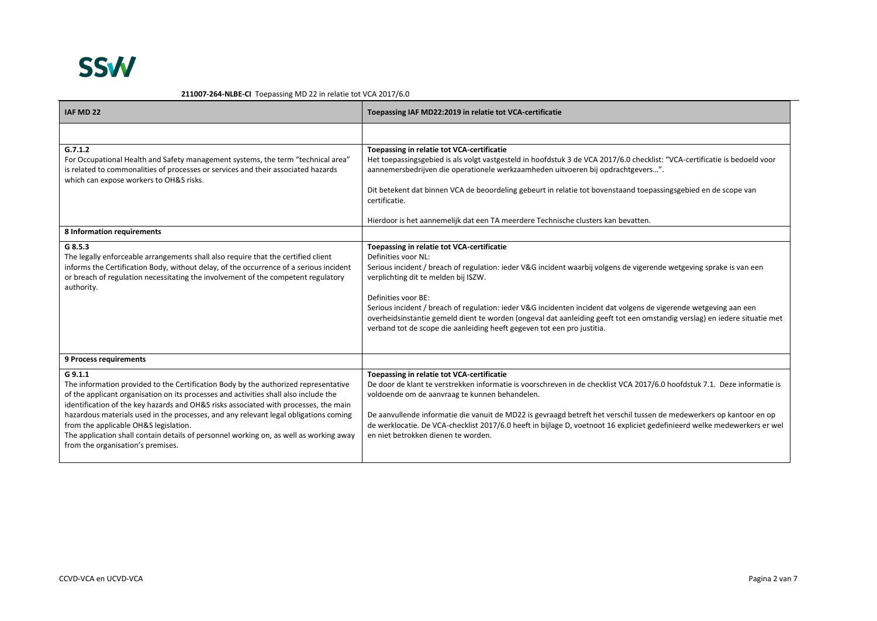

| IAF MD 22                                                                                                                                                                                                                                                                                                                                                                                                                                                                                                                                      | Toepassing IAF MD22:2019 in relatie tot VCA-certificatie                                                                                                                                                                                                                                                                                                                                                                                                                                                                                                                              |
|------------------------------------------------------------------------------------------------------------------------------------------------------------------------------------------------------------------------------------------------------------------------------------------------------------------------------------------------------------------------------------------------------------------------------------------------------------------------------------------------------------------------------------------------|---------------------------------------------------------------------------------------------------------------------------------------------------------------------------------------------------------------------------------------------------------------------------------------------------------------------------------------------------------------------------------------------------------------------------------------------------------------------------------------------------------------------------------------------------------------------------------------|
|                                                                                                                                                                                                                                                                                                                                                                                                                                                                                                                                                |                                                                                                                                                                                                                                                                                                                                                                                                                                                                                                                                                                                       |
| G.7.1.2<br>For Occupational Health and Safety management systems, the term "technical area"<br>is related to commonalities of processes or services and their associated hazards<br>which can expose workers to OH&S risks.                                                                                                                                                                                                                                                                                                                    | Toepassing in relatie tot VCA-certificatie<br>Het toepassingsgebied is als volgt vastgesteld in hoofdstuk 3 de VCA 2017/6.0 checklist: "VCA-certificatie is bedoeld voor<br>aannemersbedrijven die operationele werkzaamheden uitvoeren bij opdrachtgevers".<br>Dit betekent dat binnen VCA de beoordeling gebeurt in relatie tot bovenstaand toepassingsgebied en de scope van<br>certificatie.                                                                                                                                                                                      |
|                                                                                                                                                                                                                                                                                                                                                                                                                                                                                                                                                | Hierdoor is het aannemelijk dat een TA meerdere Technische clusters kan bevatten.                                                                                                                                                                                                                                                                                                                                                                                                                                                                                                     |
| 8 Information requirements                                                                                                                                                                                                                                                                                                                                                                                                                                                                                                                     |                                                                                                                                                                                                                                                                                                                                                                                                                                                                                                                                                                                       |
| G.8.5.3<br>The legally enforceable arrangements shall also require that the certified client<br>informs the Certification Body, without delay, of the occurrence of a serious incident<br>or breach of regulation necessitating the involvement of the competent regulatory<br>authority.                                                                                                                                                                                                                                                      | Toepassing in relatie tot VCA-certificatie<br>Definities voor NL:<br>Serious incident / breach of regulation: ieder V&G incident waarbij volgens de vigerende wetgeving sprake is van een<br>verplichting dit te melden bij ISZW.<br>Definities voor BE:<br>Serious incident / breach of regulation: ieder V&G incidenten incident dat volgens de vigerende wetgeving aan een<br>overheidsinstantie gemeld dient te worden (ongeval dat aanleiding geeft tot een omstandig verslag) en iedere situatie met<br>verband tot de scope die aanleiding heeft gegeven tot een pro justitia. |
| 9 Process requirements                                                                                                                                                                                                                                                                                                                                                                                                                                                                                                                         |                                                                                                                                                                                                                                                                                                                                                                                                                                                                                                                                                                                       |
| G 9.1.1<br>The information provided to the Certification Body by the authorized representative<br>of the applicant organisation on its processes and activities shall also include the<br>identification of the key hazards and OH&S risks associated with processes, the main<br>hazardous materials used in the processes, and any relevant legal obligations coming<br>from the applicable OH&S legislation.<br>The application shall contain details of personnel working on, as well as working away<br>from the organisation's premises. | Toepassing in relatie tot VCA-certificatie<br>De door de klant te verstrekken informatie is voorschreven in de checklist VCA 2017/6.0 hoofdstuk 7.1. Deze informatie is<br>voldoende om de aanvraag te kunnen behandelen.<br>De aanvullende informatie die vanuit de MD22 is gevraagd betreft het verschil tussen de medewerkers op kantoor en op<br>de werklocatie. De VCA-checklist 2017/6.0 heeft in bijlage D, voetnoot 16 expliciet gedefinieerd welke medewerkers er wel<br>en niet betrokken dienen te worden.                                                                 |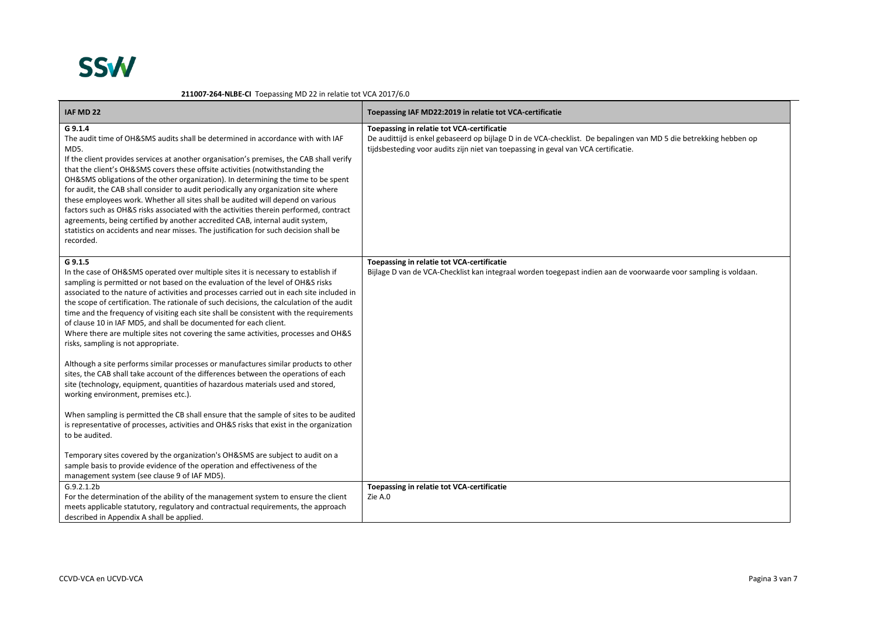

| IAF MD 22                                                                                                                                                                                                                                                                                                                                                                                                                                                                                                                                                                                                                                                                                                                                                                                                                                                                                                                                                                                                                                                                                                                                                                                | Toepassing IAF MD22:2019 in relatie tot VCA-certificatie                                                                                                                                                                                              |
|------------------------------------------------------------------------------------------------------------------------------------------------------------------------------------------------------------------------------------------------------------------------------------------------------------------------------------------------------------------------------------------------------------------------------------------------------------------------------------------------------------------------------------------------------------------------------------------------------------------------------------------------------------------------------------------------------------------------------------------------------------------------------------------------------------------------------------------------------------------------------------------------------------------------------------------------------------------------------------------------------------------------------------------------------------------------------------------------------------------------------------------------------------------------------------------|-------------------------------------------------------------------------------------------------------------------------------------------------------------------------------------------------------------------------------------------------------|
| G 9.1.4<br>The audit time of OH&SMS audits shall be determined in accordance with with IAF<br>MD5.<br>If the client provides services at another organisation's premises, the CAB shall verify<br>that the client's OH&SMS covers these offsite activities (notwithstanding the<br>OH&SMS obligations of the other organization). In determining the time to be spent<br>for audit, the CAB shall consider to audit periodically any organization site where<br>these employees work. Whether all sites shall be audited will depend on various<br>factors such as OH&S risks associated with the activities therein performed, contract<br>agreements, being certified by another accredited CAB, internal audit system,<br>statistics on accidents and near misses. The justification for such decision shall be<br>recorded.                                                                                                                                                                                                                                                                                                                                                          | Toepassing in relatie tot VCA-certificatie<br>De audittijd is enkel gebaseerd op bijlage D in de VCA-checklist. De bepalingen van MD 5 die betrekking hebben op<br>tijdsbesteding voor audits zijn niet van toepassing in geval van VCA certificatie. |
| G 9.1.5<br>In the case of OH&SMS operated over multiple sites it is necessary to establish if<br>sampling is permitted or not based on the evaluation of the level of OH&S risks<br>associated to the nature of activities and processes carried out in each site included in<br>the scope of certification. The rationale of such decisions, the calculation of the audit<br>time and the frequency of visiting each site shall be consistent with the requirements<br>of clause 10 in IAF MD5, and shall be documented for each client.<br>Where there are multiple sites not covering the same activities, processes and OH&S<br>risks, sampling is not appropriate.<br>Although a site performs similar processes or manufactures similar products to other<br>sites, the CAB shall take account of the differences between the operations of each<br>site (technology, equipment, quantities of hazardous materials used and stored,<br>working environment, premises etc.).<br>When sampling is permitted the CB shall ensure that the sample of sites to be audited<br>is representative of processes, activities and OH&S risks that exist in the organization<br>to be audited. | Toepassing in relatie tot VCA-certificatie<br>Bijlage D van de VCA-Checklist kan integraal worden toegepast indien aan de voorwaarde voor sampling is voldaan.                                                                                        |
| Temporary sites covered by the organization's OH&SMS are subject to audit on a<br>sample basis to provide evidence of the operation and effectiveness of the<br>management system (see clause 9 of IAF MD5).                                                                                                                                                                                                                                                                                                                                                                                                                                                                                                                                                                                                                                                                                                                                                                                                                                                                                                                                                                             |                                                                                                                                                                                                                                                       |
| G.9.2.1.2b<br>For the determination of the ability of the management system to ensure the client<br>meets applicable statutory, regulatory and contractual requirements, the approach<br>described in Appendix A shall be applied.                                                                                                                                                                                                                                                                                                                                                                                                                                                                                                                                                                                                                                                                                                                                                                                                                                                                                                                                                       | Toepassing in relatie tot VCA-certificatie<br>Zie A.0                                                                                                                                                                                                 |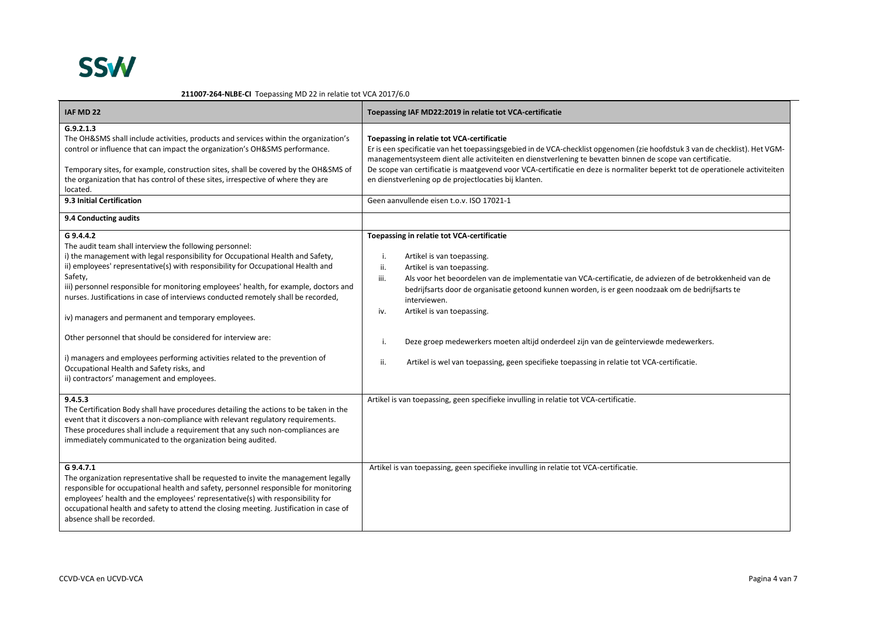

| IAF MD 22                                                                                                                                                                                                                                                                                                                                                                                                                                                                                                                                                                                                                                                                                                                               | Toepassing IAF MD22:2019 in relatie tot VCA-certificatie                                                                                                                                                                                                                                                                                                                                                                                                                                                                                                                                               |
|-----------------------------------------------------------------------------------------------------------------------------------------------------------------------------------------------------------------------------------------------------------------------------------------------------------------------------------------------------------------------------------------------------------------------------------------------------------------------------------------------------------------------------------------------------------------------------------------------------------------------------------------------------------------------------------------------------------------------------------------|--------------------------------------------------------------------------------------------------------------------------------------------------------------------------------------------------------------------------------------------------------------------------------------------------------------------------------------------------------------------------------------------------------------------------------------------------------------------------------------------------------------------------------------------------------------------------------------------------------|
| G.9.2.1.3<br>The OH&SMS shall include activities, products and services within the organization's<br>control or influence that can impact the organization's OH&SMS performance.<br>Temporary sites, for example, construction sites, shall be covered by the OH&SMS of<br>the organization that has control of these sites, irrespective of where they are<br>located.                                                                                                                                                                                                                                                                                                                                                                 | Toepassing in relatie tot VCA-certificatie<br>Er is een specificatie van het toepassingsgebied in de VCA-checklist opgenomen (zie hoofdstuk 3 van de checklist). Het VGM-<br>managementsysteem dient alle activiteiten en dienstverlening te bevatten binnen de scope van certificatie.<br>De scope van certificatie is maatgevend voor VCA-certificatie en deze is normaliter beperkt tot de operationele activiteiten<br>en dienstverlening op de projectlocaties bij klanten.                                                                                                                       |
| 9.3 Initial Certification                                                                                                                                                                                                                                                                                                                                                                                                                                                                                                                                                                                                                                                                                                               | Geen aanvullende eisen t.o.v. ISO 17021-1                                                                                                                                                                                                                                                                                                                                                                                                                                                                                                                                                              |
| 9.4 Conducting audits                                                                                                                                                                                                                                                                                                                                                                                                                                                                                                                                                                                                                                                                                                                   |                                                                                                                                                                                                                                                                                                                                                                                                                                                                                                                                                                                                        |
| G 9.4.4.2<br>The audit team shall interview the following personnel:<br>i) the management with legal responsibility for Occupational Health and Safety,<br>ii) employees' representative(s) with responsibility for Occupational Health and<br>Safety,<br>iii) personnel responsible for monitoring employees' health, for example, doctors and<br>nurses. Justifications in case of interviews conducted remotely shall be recorded,<br>iv) managers and permanent and temporary employees.<br>Other personnel that should be considered for interview are:<br>i) managers and employees performing activities related to the prevention of<br>Occupational Health and Safety risks, and<br>ii) contractors' management and employees. | Toepassing in relatie tot VCA-certificatie<br>i.<br>Artikel is van toepassing.<br>ii.<br>Artikel is van toepassing.<br>iii.<br>Als voor het beoordelen van de implementatie van VCA-certificatie, de adviezen of de betrokkenheid van de<br>bedrijfsarts door de organisatie getoond kunnen worden, is er geen noodzaak om de bedrijfsarts te<br>interviewen.<br>Artikel is van toepassing.<br>iv.<br>Deze groep medewerkers moeten altijd onderdeel zijn van de geïnterviewde medewerkers.<br>i.<br>ii.<br>Artikel is wel van toepassing, geen specifieke toepassing in relatie tot VCA-certificatie. |
| 9.4.5.3<br>The Certification Body shall have procedures detailing the actions to be taken in the<br>event that it discovers a non-compliance with relevant regulatory requirements.<br>These procedures shall include a requirement that any such non-compliances are<br>immediately communicated to the organization being audited.                                                                                                                                                                                                                                                                                                                                                                                                    | Artikel is van toepassing, geen specifieke invulling in relatie tot VCA-certificatie.                                                                                                                                                                                                                                                                                                                                                                                                                                                                                                                  |
| G 9.4.7.1<br>The organization representative shall be requested to invite the management legally<br>responsible for occupational health and safety, personnel responsible for monitoring<br>employees' health and the employees' representative(s) with responsibility for<br>occupational health and safety to attend the closing meeting. Justification in case of<br>absence shall be recorded.                                                                                                                                                                                                                                                                                                                                      | Artikel is van toepassing, geen specifieke invulling in relatie tot VCA-certificatie.                                                                                                                                                                                                                                                                                                                                                                                                                                                                                                                  |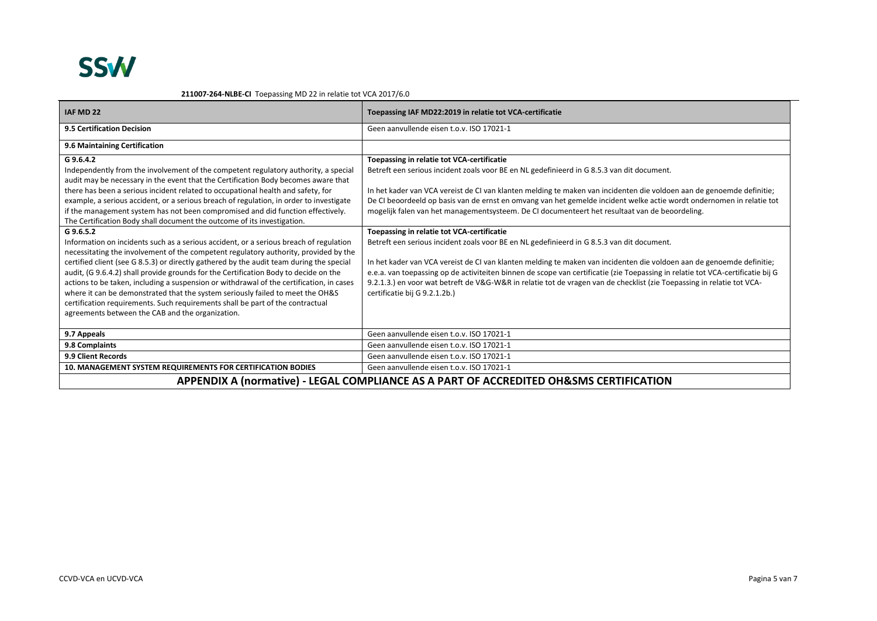

| IAF MD 22                                                                                                                                                                                                                                                                                                                                                                                                                                                                                                                                                                                                                                                                                                                                                                                                                                                                                                                                                                                                                                                                                                                                                                                                                                  | Toepassing IAF MD22:2019 in relatie tot VCA-certificatie                                                                                                                                                                                                                                                                                                                                                                                                                                                                                                                                                                                                                                                                                                                                                                                                                                                                                                                                                                                                        |  |
|--------------------------------------------------------------------------------------------------------------------------------------------------------------------------------------------------------------------------------------------------------------------------------------------------------------------------------------------------------------------------------------------------------------------------------------------------------------------------------------------------------------------------------------------------------------------------------------------------------------------------------------------------------------------------------------------------------------------------------------------------------------------------------------------------------------------------------------------------------------------------------------------------------------------------------------------------------------------------------------------------------------------------------------------------------------------------------------------------------------------------------------------------------------------------------------------------------------------------------------------|-----------------------------------------------------------------------------------------------------------------------------------------------------------------------------------------------------------------------------------------------------------------------------------------------------------------------------------------------------------------------------------------------------------------------------------------------------------------------------------------------------------------------------------------------------------------------------------------------------------------------------------------------------------------------------------------------------------------------------------------------------------------------------------------------------------------------------------------------------------------------------------------------------------------------------------------------------------------------------------------------------------------------------------------------------------------|--|
| 9.5 Certification Decision                                                                                                                                                                                                                                                                                                                                                                                                                                                                                                                                                                                                                                                                                                                                                                                                                                                                                                                                                                                                                                                                                                                                                                                                                 | Geen aanvullende eisen t.o.v. ISO 17021-1                                                                                                                                                                                                                                                                                                                                                                                                                                                                                                                                                                                                                                                                                                                                                                                                                                                                                                                                                                                                                       |  |
| 9.6 Maintaining Certification                                                                                                                                                                                                                                                                                                                                                                                                                                                                                                                                                                                                                                                                                                                                                                                                                                                                                                                                                                                                                                                                                                                                                                                                              |                                                                                                                                                                                                                                                                                                                                                                                                                                                                                                                                                                                                                                                                                                                                                                                                                                                                                                                                                                                                                                                                 |  |
| G 9.6.4.2<br>Independently from the involvement of the competent regulatory authority, a special<br>audit may be necessary in the event that the Certification Body becomes aware that<br>there has been a serious incident related to occupational health and safety, for<br>example, a serious accident, or a serious breach of regulation, in order to investigate<br>if the management system has not been compromised and did function effectively.<br>The Certification Body shall document the outcome of its investigation.<br>G 9.6.5.2<br>Information on incidents such as a serious accident, or a serious breach of regulation<br>necessitating the involvement of the competent regulatory authority, provided by the<br>certified client (see G 8.5.3) or directly gathered by the audit team during the special<br>audit, (G 9.6.4.2) shall provide grounds for the Certification Body to decide on the<br>actions to be taken, including a suspension or withdrawal of the certification, in cases<br>where it can be demonstrated that the system seriously failed to meet the OH&S<br>certification requirements. Such requirements shall be part of the contractual<br>agreements between the CAB and the organization. | Toepassing in relatie tot VCA-certificatie<br>Betreft een serious incident zoals voor BE en NL gedefinieerd in G 8.5.3 van dit document.<br>In het kader van VCA vereist de CI van klanten melding te maken van incidenten die voldoen aan de genoemde definitie;<br>De CI beoordeeld op basis van de ernst en omvang van het gemelde incident welke actie wordt ondernomen in relatie tot<br>mogelijk falen van het managementsysteem. De CI documenteert het resultaat van de beoordeling.<br>Toepassing in relatie tot VCA-certificatie<br>Betreft een serious incident zoals voor BE en NL gedefinieerd in G 8.5.3 van dit document.<br>In het kader van VCA vereist de CI van klanten melding te maken van incidenten die voldoen aan de genoemde definitie;<br>e.e.a. van toepassing op de activiteiten binnen de scope van certificatie (zie Toepassing in relatie tot VCA-certificatie bij G<br>9.2.1.3.) en voor wat betreft de V&G-W&R in relatie tot de vragen van de checklist (zie Toepassing in relatie tot VCA-<br>certificatie bij G 9.2.1.2b.) |  |
| 9.7 Appeals                                                                                                                                                                                                                                                                                                                                                                                                                                                                                                                                                                                                                                                                                                                                                                                                                                                                                                                                                                                                                                                                                                                                                                                                                                | Geen aanvullende eisen t.o.v. ISO 17021-1                                                                                                                                                                                                                                                                                                                                                                                                                                                                                                                                                                                                                                                                                                                                                                                                                                                                                                                                                                                                                       |  |
| 9.8 Complaints                                                                                                                                                                                                                                                                                                                                                                                                                                                                                                                                                                                                                                                                                                                                                                                                                                                                                                                                                                                                                                                                                                                                                                                                                             | Geen aanvullende eisen t.o.v. ISO 17021-1                                                                                                                                                                                                                                                                                                                                                                                                                                                                                                                                                                                                                                                                                                                                                                                                                                                                                                                                                                                                                       |  |
| 9.9 Client Records                                                                                                                                                                                                                                                                                                                                                                                                                                                                                                                                                                                                                                                                                                                                                                                                                                                                                                                                                                                                                                                                                                                                                                                                                         | Geen aanvullende eisen t.o.v. ISO 17021-1                                                                                                                                                                                                                                                                                                                                                                                                                                                                                                                                                                                                                                                                                                                                                                                                                                                                                                                                                                                                                       |  |
| <b>10. MANAGEMENT SYSTEM REQUIREMENTS FOR CERTIFICATION BODIES</b>                                                                                                                                                                                                                                                                                                                                                                                                                                                                                                                                                                                                                                                                                                                                                                                                                                                                                                                                                                                                                                                                                                                                                                         | Geen aanvullende eisen t.o.v. ISO 17021-1                                                                                                                                                                                                                                                                                                                                                                                                                                                                                                                                                                                                                                                                                                                                                                                                                                                                                                                                                                                                                       |  |
| APPENDIX A (normative) - LEGAL COMPLIANCE AS A PART OF ACCREDITED OH&SMS CERTIFICATION                                                                                                                                                                                                                                                                                                                                                                                                                                                                                                                                                                                                                                                                                                                                                                                                                                                                                                                                                                                                                                                                                                                                                     |                                                                                                                                                                                                                                                                                                                                                                                                                                                                                                                                                                                                                                                                                                                                                                                                                                                                                                                                                                                                                                                                 |  |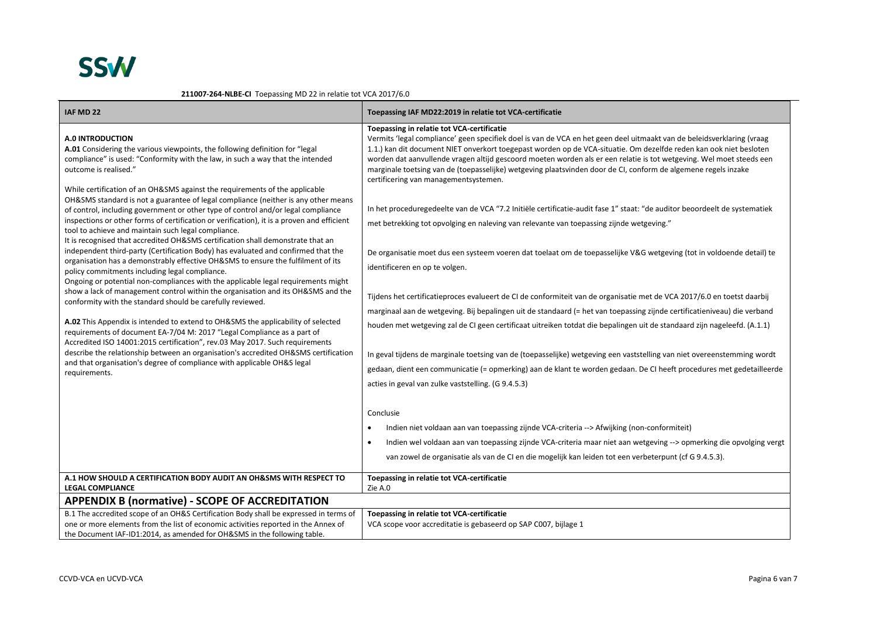

| IAF MD 22                                                                                                                                                                                                                                                                                                                                                                                                                                                                                                                                                                                                                                                                                                                                                                                                                                                                                                                                                                                                                                                                                                                                                                                                                                                                                                                                                                                                                                                                                                                                                                                                         | Toepassing IAF MD22:2019 in relatie tot VCA-certificatie                                                                                                                                                                                                                                                                                                                                                                                                                                                                                                                                                                                                                                                                                                                                                                                                                                                                                                                                                                                                                                                                                                                                                                                                                                                                                                                                                                                                                                                                                                                                                                                                        |
|-------------------------------------------------------------------------------------------------------------------------------------------------------------------------------------------------------------------------------------------------------------------------------------------------------------------------------------------------------------------------------------------------------------------------------------------------------------------------------------------------------------------------------------------------------------------------------------------------------------------------------------------------------------------------------------------------------------------------------------------------------------------------------------------------------------------------------------------------------------------------------------------------------------------------------------------------------------------------------------------------------------------------------------------------------------------------------------------------------------------------------------------------------------------------------------------------------------------------------------------------------------------------------------------------------------------------------------------------------------------------------------------------------------------------------------------------------------------------------------------------------------------------------------------------------------------------------------------------------------------|-----------------------------------------------------------------------------------------------------------------------------------------------------------------------------------------------------------------------------------------------------------------------------------------------------------------------------------------------------------------------------------------------------------------------------------------------------------------------------------------------------------------------------------------------------------------------------------------------------------------------------------------------------------------------------------------------------------------------------------------------------------------------------------------------------------------------------------------------------------------------------------------------------------------------------------------------------------------------------------------------------------------------------------------------------------------------------------------------------------------------------------------------------------------------------------------------------------------------------------------------------------------------------------------------------------------------------------------------------------------------------------------------------------------------------------------------------------------------------------------------------------------------------------------------------------------------------------------------------------------------------------------------------------------|
| A.0 INTRODUCTION<br>A.01 Considering the various viewpoints, the following definition for "legal<br>compliance" is used: "Conformity with the law, in such a way that the intended<br>outcome is realised."<br>While certification of an OH&SMS against the requirements of the applicable<br>OH&SMS standard is not a guarantee of legal compliance (neither is any other means<br>of control, including government or other type of control and/or legal compliance<br>inspections or other forms of certification or verification), it is a proven and efficient<br>tool to achieve and maintain such legal compliance.<br>It is recognised that accredited OH&SMS certification shall demonstrate that an<br>independent third-party (Certification Body) has evaluated and confirmed that the<br>organisation has a demonstrably effective OH&SMS to ensure the fulfilment of its<br>policy commitments including legal compliance.<br>Ongoing or potential non-compliances with the applicable legal requirements might<br>show a lack of management control within the organisation and its OH&SMS and the<br>conformity with the standard should be carefully reviewed.<br>A.02 This Appendix is intended to extend to OH&SMS the applicability of selected<br>requirements of document EA-7/04 M: 2017 "Legal Compliance as a part of<br>Accredited ISO 14001:2015 certification", rev.03 May 2017. Such requirements<br>describe the relationship between an organisation's accredited OH&SMS certification<br>and that organisation's degree of compliance with applicable OH&S legal<br>requirements. | Toepassing in relatie tot VCA-certificatie<br>Vermits 'legal compliance' geen specifiek doel is van de VCA en het geen deel uitmaakt van de beleidsverklaring (vraag<br>1.1.) kan dit document NIET onverkort toegepast worden op de VCA-situatie. Om dezelfde reden kan ook niet besloten<br>worden dat aanvullende vragen altijd gescoord moeten worden als er een relatie is tot wetgeving. Wel moet steeds een<br>marginale toetsing van de (toepasselijke) wetgeving plaatsvinden door de CI, conform de algemene regels inzake<br>certificering van managementsystemen.<br>In het proceduregedeelte van de VCA "7.2 Initiële certificatie-audit fase 1" staat: "de auditor beoordeelt de systematiek<br>met betrekking tot opvolging en naleving van relevante van toepassing zijnde wetgeving."<br>De organisatie moet dus een systeem voeren dat toelaat om de toepasselijke V&G wetgeving (tot in voldoende detail) te<br>identificeren en op te volgen.<br>Tijdens het certificatieproces evalueert de CI de conformiteit van de organisatie met de VCA 2017/6.0 en toetst daarbij<br>marginaal aan de wetgeving. Bij bepalingen uit de standaard (= het van toepassing zijnde certificatieniveau) die verband<br>houden met wetgeving zal de CI geen certificaat uitreiken totdat die bepalingen uit de standaard zijn nageleefd. (A.1.1)<br>In geval tijdens de marginale toetsing van de (toepasselijke) wetgeving een vaststelling van niet overeenstemming wordt<br>gedaan, dient een communicatie (= opmerking) aan de klant te worden gedaan. De CI heeft procedures met gedetailleerde<br>acties in geval van zulke vaststelling. (G 9.4.5.3) |
|                                                                                                                                                                                                                                                                                                                                                                                                                                                                                                                                                                                                                                                                                                                                                                                                                                                                                                                                                                                                                                                                                                                                                                                                                                                                                                                                                                                                                                                                                                                                                                                                                   | Conclusie<br>Indien niet voldaan aan van toepassing zijnde VCA-criteria --> Afwijking (non-conformiteit)<br>$\bullet$                                                                                                                                                                                                                                                                                                                                                                                                                                                                                                                                                                                                                                                                                                                                                                                                                                                                                                                                                                                                                                                                                                                                                                                                                                                                                                                                                                                                                                                                                                                                           |
|                                                                                                                                                                                                                                                                                                                                                                                                                                                                                                                                                                                                                                                                                                                                                                                                                                                                                                                                                                                                                                                                                                                                                                                                                                                                                                                                                                                                                                                                                                                                                                                                                   | Indien wel voldaan aan van toepassing zijnde VCA-criteria maar niet aan wetgeving --> opmerking die opvolging vergt<br>$\bullet$                                                                                                                                                                                                                                                                                                                                                                                                                                                                                                                                                                                                                                                                                                                                                                                                                                                                                                                                                                                                                                                                                                                                                                                                                                                                                                                                                                                                                                                                                                                                |
|                                                                                                                                                                                                                                                                                                                                                                                                                                                                                                                                                                                                                                                                                                                                                                                                                                                                                                                                                                                                                                                                                                                                                                                                                                                                                                                                                                                                                                                                                                                                                                                                                   | van zowel de organisatie als van de CI en die mogelijk kan leiden tot een verbeterpunt (cf G 9.4.5.3).                                                                                                                                                                                                                                                                                                                                                                                                                                                                                                                                                                                                                                                                                                                                                                                                                                                                                                                                                                                                                                                                                                                                                                                                                                                                                                                                                                                                                                                                                                                                                          |
| A.1 HOW SHOULD A CERTIFICATION BODY AUDIT AN OH&SMS WITH RESPECT TO<br><b>LEGAL COMPLIANCE</b>                                                                                                                                                                                                                                                                                                                                                                                                                                                                                                                                                                                                                                                                                                                                                                                                                                                                                                                                                                                                                                                                                                                                                                                                                                                                                                                                                                                                                                                                                                                    | Toepassing in relatie tot VCA-certificatie<br>Zie A.0                                                                                                                                                                                                                                                                                                                                                                                                                                                                                                                                                                                                                                                                                                                                                                                                                                                                                                                                                                                                                                                                                                                                                                                                                                                                                                                                                                                                                                                                                                                                                                                                           |
| <b>APPENDIX B (normative) - SCOPE OF ACCREDITATION</b>                                                                                                                                                                                                                                                                                                                                                                                                                                                                                                                                                                                                                                                                                                                                                                                                                                                                                                                                                                                                                                                                                                                                                                                                                                                                                                                                                                                                                                                                                                                                                            |                                                                                                                                                                                                                                                                                                                                                                                                                                                                                                                                                                                                                                                                                                                                                                                                                                                                                                                                                                                                                                                                                                                                                                                                                                                                                                                                                                                                                                                                                                                                                                                                                                                                 |
| B.1 The accredited scope of an OH&S Certification Body shall be expressed in terms of<br>one or more elements from the list of economic activities reported in the Annex of<br>the Document IAF-ID1:2014, as amended for OH&SMS in the following table.                                                                                                                                                                                                                                                                                                                                                                                                                                                                                                                                                                                                                                                                                                                                                                                                                                                                                                                                                                                                                                                                                                                                                                                                                                                                                                                                                           | Toepassing in relatie tot VCA-certificatie<br>VCA scope voor accreditatie is gebaseerd op SAP C007, bijlage 1                                                                                                                                                                                                                                                                                                                                                                                                                                                                                                                                                                                                                                                                                                                                                                                                                                                                                                                                                                                                                                                                                                                                                                                                                                                                                                                                                                                                                                                                                                                                                   |